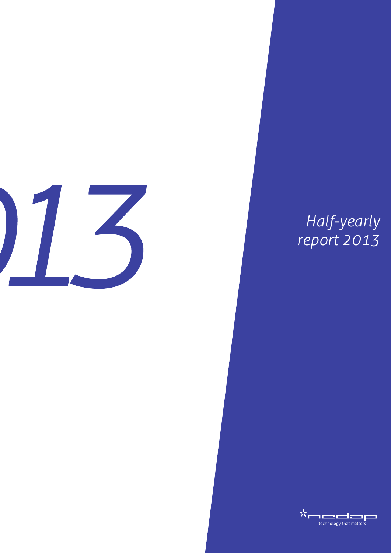

# *Half-yearly report 2013*

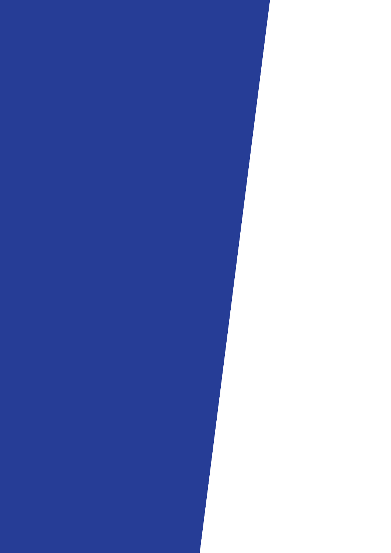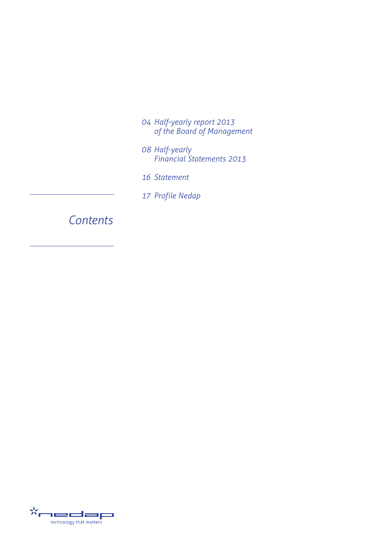- *04 Half-yearly report 2013 of the Board of Management*
- *08 Half-yearly Financial Statements 2013*
- *16 Statement*
- *17 Profile Nedap*

*Contents* 

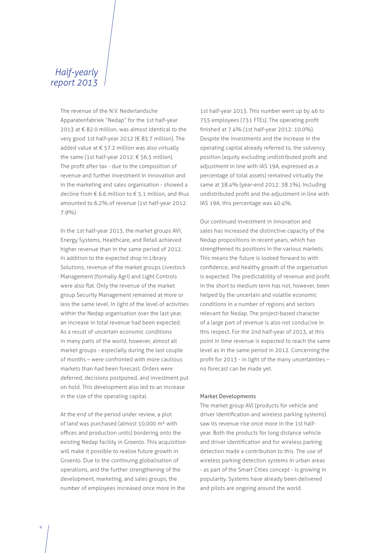## *Half-yearly report 2013*

The revenue of the N.V. Nederlandsche Apparatenfabriek "Nedap" for the 1st half-year 2013 at € 82.0 million, was almost identical to the very good 1st half-year 2012 (€ 83.7 million). The added value at € 57.2 million was also virtually the same (1st half-year 2012:  $\epsilon$  56.5 million). The profit after tax - due to the composition of revenue and further investment in innovation and in the marketing and sales organisation - showed a decline from € 6.6 million to € 5.1 million, and thus amounted to 6.2% of revenue (1st half-year 2012: 7.9%).

In the 1st half-year 2013, the market groups AVI, Energy Systems, Healthcare, and Retail achieved higher revenue than in the same period of 2012. In addition to the expected drop in Library Solutions, revenue of the market groups Livestock Management (formally Agri) and Light Controls were also flat. Only the revenue of the market group Security Management remained at more or less the same level. In light of the level of activities within the Nedap organisation over the last year. an increase in total revenue had been expected. As a result of uncertain economic conditions in many parts of the world, however, almost all market groups - especially during the last couple of months – were confronted with more cautious markets than had been forecast. Orders were deferred, decisions postponed, and investment put on hold. This development also led to an increase in the size of the operating capital.

At the end of the period under review, a plot of land was purchased (almost 10,000 m² with offices and production units) bordering onto the existing Nedap facility in Groenlo. This acquisition will make it possible to realise future growth in Groenlo. Due to the continuing globalisation of operations, and the further strengthening of the development, marketing, and sales groups, the number of employees increased once more in the

1st half-year 2013. This number went up by 46 to 755 employees (731 FTEs). The operating profit finished at 7.4% (1st half-year 2012: 10.0%). Despite the investments and the increase in the operating capital already referred to, the solvency position (equity excluding undistributed profit and adjustment in line with IAS 19A, expressed as a percentage of total assets) remained virtually the same at 38.4% (year-end 2012: 38.1%). Including undistributed profit and the adjustment in line with IAS 19A, this percentage was 40.4%.

Our continued investment in innovation and sales has increased the distinctive capacity of the Nedap propositions in recent years, which has strengthened its positions in the various markets. This means the future is looked forward to with confidence, and healthy growth of the organisation is expected. The predictability of revenue and profit in the short to medium term has not, however, been helped by the uncertain and volatile economic conditions in a number of regions and sectors relevant for Nedap. The project-based character of a large part of revenue is also not conducive in this respect. For the 2nd half-year of 2013, at this point in time revenue is expected to reach the same level as in the same period in 2012. Concerning the profit for 2013 - in light of the many uncertainties – no forecast can be made yet.

#### Market Developments

The market group AVI (products for vehicle and driver identification and wireless parking systems) saw its revenue rise once more in the 1st halfyear. Both the products for long distance vehicle and driver identification and for wireless parking detection made a contribution to this. The use of wireless parking detection systems in urban areas - as part of the Smart Cities concept - is growing in popularity. Systems have already been delivered and pilots are ongoing around the world.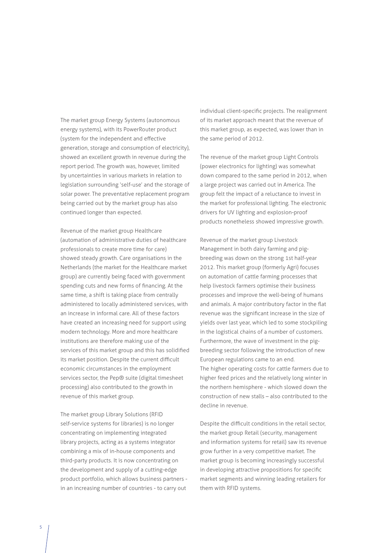The market group Energy Systems (autonomous energy systems), with its PowerRouter product (system for the independent and effective generation, storage and consumption of electricity), showed an excellent growth in revenue during the report period. The growth was, however, limited by uncertainties in various markets in relation to legislation surrounding 'self-use' and the storage of solar power. The preventative replacement program being carried out by the market group has also continued longer than expected.

Revenue of the market group Healthcare (automation of administrative duties of healthcare professionals to create more time for care) showed steady growth. Care organisations in the Netherlands (the market for the Healthcare market group) are currently being faced with government spending cuts and new forms of financing. At the same time, a shift is taking place from centrally administered to locally administered services, with an increase in informal care. All of these factors have created an increasing need for support using modern technology. More and more healthcare institutions are therefore making use of the services of this market group and this has solidified its market position. Despite the current difficult economic circumstances in the employment services sector, the Pep® suite (digital timesheet processing) also contributed to the growth in revenue of this market group.

The market group Library Solutions (RFID self-service systems for libraries) is no longer concentrating on implementing integrated library projects, acting as a systems integrator combining a mix of in-house components and third-party products. It is now concentrating on the development and supply of a cutting-edge product portfolio, which allows business partners in an increasing number of countries - to carry out

individual client-specific projects. The realignment of its market approach meant that the revenue of this market group, as expected, was lower than in the same period of 2012.

The revenue of the market group Light Controls (power electronics for lighting) was somewhat down compared to the same period in 2012, when a large project was carried out in America. The group felt the impact of a reluctance to invest in the market for professional lighting. The electronic drivers for UV lighting and explosion-proof products nonetheless showed impressive growth.

Revenue of the market group Livestock Management in both dairy farming and pigbreeding was down on the strong 1st half-year 2012. This market group (formerly Agri) focuses on automation of cattle farming processes that help livestock farmers optimise their business processes and improve the well-being of humans and animals. A major contributory factor in the flat revenue was the significant increase in the size of yields over last year, which led to some stockpiling in the logistical chains of a number of customers. Furthermore, the wave of investment in the pigbreeding sector following the introduction of new European regulations came to an end. The higher operating costs for cattle farmers due to higher feed prices and the relatively long winter in the northern hemisphere - which slowed down the construction of new stalls – also contributed to the decline in revenue.

Despite the difficult conditions in the retail sector, the market group Retail (security, management and information systems for retail) saw its revenue grow further in a very competitive market. The market group is becoming increasingly successful in developing attractive propositions for specific market segments and winning leading retailers for them with RFID systems.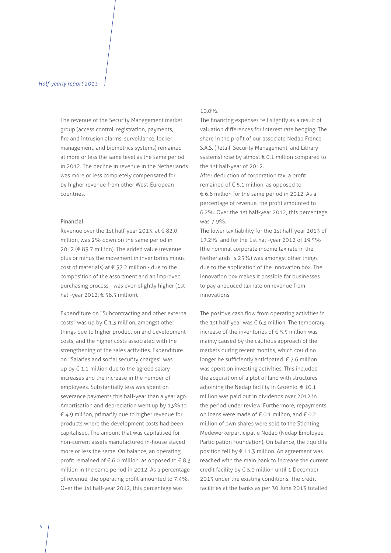The revenue of the Security Management market group (access control, registration, payments, fire and intrusion alarms, surveillance, locker management, and biometrics systems) remained at more or less the same level as the same period in 2012. The decline in revenue in the Netherlands was more or less completely compensated for by higher revenue from other West-European countries.

#### Financial

Revenue over the 1st half-year 2013, at  $\epsilon$  82.0 million, was 2% down on the same period in 2012 (€ 83.7 million). The added value (revenue plus or minus the movement in inventories minus cost of materials) at  $\epsilon$  57.2 million - due to the composition of the assortment and an improved purchasing process - was even slightly higher (1st half-year 2012: € 56.5 million).

Expenditure on "Subcontracting and other external costs" was up by  $\xi$  1.3 million, amongst other things due to higher production and development costs, and the higher costs associated with the strengthening of the sales activities. Expenditure on "Salaries and social security charges" was up by  $\epsilon$  1.1 million due to the agreed salary increases and the increase in the number of employees. Substantially less was spent on severance payments this half-year than a year ago. Amortisation and depreciation went up by 13% to € 4.9 million, primarily due to higher revenue for products where the development costs had been capitalised. The amount that was capitalised for non-current assets manufactured in-house stayed more or less the same. On balance, an operating profit remained of  $\in$  6.0 million, as opposed to  $\in$  8.3 million in the same period in 2012. As a percentage of revenue, the operating profit amounted to 7.4%. Over the 1st half-year 2012, this percentage was

#### 10.0%.

The financing expenses fell slightly as a result of valuation differences for interest rate hedging. The share in the profit of our associate Nedap France S.A.S. (Retail, Security Management, and Library systems) rose by almost € 0.1 million compared to the 1st half-year of 2012.

After deduction of corporation tax, a profit remained of € 5.1 million, as opposed to € 6.6 million for the same period in 2012. As a percentage of revenue, the profit amounted to 6.2%. Over the 1st half-year 2012, this percentage was 7.9%.

The lower tax liability for the 1st half-year 2013 of 17.2% and for the 1st half-year 2012 of 19.5% (the nominal corporate income tax rate in the Netherlands is 25%) was amongst other things due to the application of the Innovation box. The Innovation box makes it possible for businesses to pay a reduced tax rate on revenue from innovations.

The positive cash flow from operating activities in the 1st half-year was  $\epsilon$  6.3 million. The temporary increase of the inventories of  $\epsilon$  5.5 million was mainly caused by the cautious approach of the markets during recent months, which could no longer be sufficiently anticipated.  $\epsilon$  7.6 million was spent on investing activities. This included the acquisition of a plot of land with structures adjoining the Nedap facility in Groenlo. € 10.1 million was paid out in dividends over 2012 in the period under review. Furthermore, repayments on loans were made of  $\epsilon$  0.1 million, and  $\epsilon$  0.2 million of own shares were sold to the Stichting Medewerkerparticipatie Nedap (Nedap Employee Participation Foundation). On balance, the liquidity position fell by € 11.3 million. An agreement was reached with the main bank to increase the current credit facility by € 5.0 million until 1 December 2013 under the existing conditions. The credit facilities at the banks as per 30 June 2013 totalled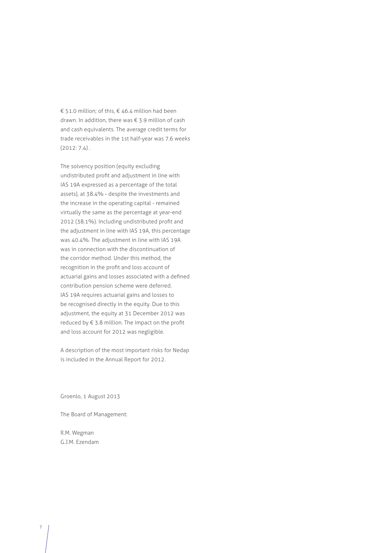€ 51.0 million; of this, € 46.4 million had been drawn. In addition, there was € 3.9 million of cash and cash equivalents. The average credit terms for trade receivables in the 1st half-year was 7.6 weeks  $(2012:7.4)$ .

The solvency position (equity excluding undistributed profit and adjustment in line with IAS 19A expressed as a percentage of the total assets), at 38.4% - despite the investments and the increase in the operating capital - remained virtually the same as the percentage at year-end 2012 (38.1%). Including undistributed profit and the adjustment in line with IAS 19A, this percentage was 40.4%. The adjustment in line with IAS 19A was in connection with the discontinuation of the corridor method. Under this method, the recognition in the profit and loss account of actuarial gains and losses associated with a defined contribution pension scheme were deferred. IAS 19A requires actuarial gains and losses to be recognised directly in the equity. Due to this adjustment, the equity at 31 December 2012 was reduced by  $\xi$  3.8 million. The impact on the profit and loss account for 2012 was negligible.

A description of the most important risks for Nedap is included in the Annual Report for 2012.

Groenlo, 1 August 2013

The Board of Management:

R.M. Wegman G.J.M. Ezendam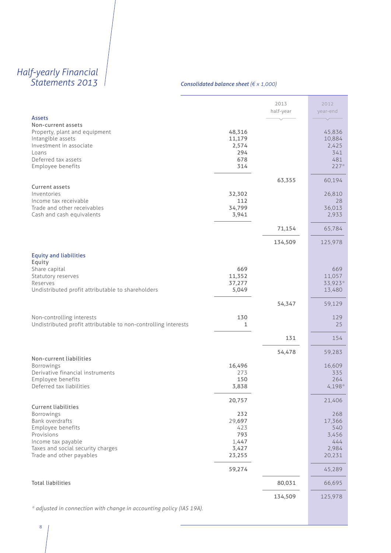### *Half-yearly Financial Statements 2013*

#### *Consolidated balance sheet (€ x 1,000)*

|                                                                                                                                                                                       |                                                         | 2013<br>half-year | 2012<br>year-end                                        |
|---------------------------------------------------------------------------------------------------------------------------------------------------------------------------------------|---------------------------------------------------------|-------------------|---------------------------------------------------------|
| <b>Assets</b><br>Non-current assets<br>Property, plant and equipment<br>Intangible assets<br>Investment in associate<br>Loans<br>Deferred tax assets<br>Employee benefits             | 48,316<br>11,179<br>2,574<br>294<br>678<br>314          |                   | 45,836<br>10,884<br>2,425<br>341<br>481<br>$227*$       |
| Current assets<br>Inventories                                                                                                                                                         | 32,302                                                  | 63,355            | 60,194<br>26,810                                        |
| Income tax receivable<br>Trade and other receivables<br>Cash and cash equivalents                                                                                                     | 112<br>34,799<br>3,941                                  |                   | 28<br>36,013<br>2,933                                   |
|                                                                                                                                                                                       |                                                         | 71,154            | 65,784                                                  |
|                                                                                                                                                                                       |                                                         | 134,509           | 125,978                                                 |
| <b>Equity and liabilities</b><br>Equity                                                                                                                                               |                                                         |                   |                                                         |
| Share capital<br>Statutory reserves<br>Reserves<br>Undistributed profit attributable to shareholders                                                                                  | 669<br>11,352<br>37,277<br>5,049                        |                   | 669<br>11,057<br>33,923*<br>13,480                      |
|                                                                                                                                                                                       |                                                         | 54,347            | 59,129                                                  |
| Non-controlling interests<br>Undistributed profit attributable to non-controlling interests                                                                                           | 130<br>1                                                |                   | 129<br>25                                               |
|                                                                                                                                                                                       |                                                         | 131               | 154                                                     |
|                                                                                                                                                                                       |                                                         | 54,478            | 59,283                                                  |
| Non-current liabilities<br><b>Borrowings</b>                                                                                                                                          | 16,496                                                  |                   | 16,609                                                  |
| Derivative financial instruments<br>Employee benefits<br>Deferred tax liabilities                                                                                                     | 273<br>150<br>3,838                                     |                   | 335<br>264<br>4,198*                                    |
|                                                                                                                                                                                       | 20,757                                                  |                   | 21,406                                                  |
| <b>Current liabilities</b><br>Borrowings<br>Bank overdrafts<br>Employee benefits<br>Provisions<br>Income tax payable<br>Taxes and social security charges<br>Trade and other payables | 232<br>29,697<br>423<br>793<br>1,447<br>3,427<br>23,255 |                   | 268<br>17,366<br>540<br>3,456<br>444<br>2,984<br>20,231 |
|                                                                                                                                                                                       | 59,274                                                  |                   | 45,289                                                  |
| <b>Total liabilities</b>                                                                                                                                                              |                                                         | 80,031            | 66,695                                                  |
|                                                                                                                                                                                       |                                                         | 134,509           | 125,978                                                 |
| * adjusted in connection with change in accounting policy (IAS 19A).                                                                                                                  |                                                         |                   |                                                         |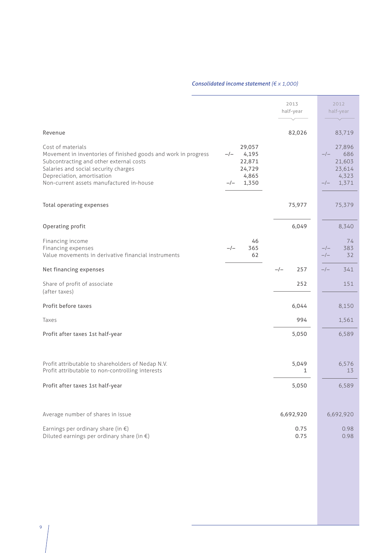#### *Consolidated income statement (€ x 1,000)*

|                                                                                                                                                                                                                                                  |                                              | 2013<br>half-year       | 2012<br>half-year                                                     |
|--------------------------------------------------------------------------------------------------------------------------------------------------------------------------------------------------------------------------------------------------|----------------------------------------------|-------------------------|-----------------------------------------------------------------------|
| Revenue                                                                                                                                                                                                                                          |                                              | 82,026                  | 83,719                                                                |
| Cost of materials<br>Movement in inventories of finished goods and work in progress<br>Subcontracting and other external costs<br>Salaries and social security charges<br>Depreciation, amortisation<br>Non-current assets manufactured in-house | 29,057<br>$-/-$<br>22,871<br>24,729<br>$-/-$ | 4,195<br>4,865<br>1,350 | 27,896<br>686<br>$-/-$<br>21,603<br>23,614<br>4,323<br>1,371<br>$-/-$ |
| Total operating expenses                                                                                                                                                                                                                         |                                              | 75,977                  | 75,379                                                                |
| Operating profit                                                                                                                                                                                                                                 |                                              | 6,049                   | 8,340                                                                 |
| Financing income<br>Financing expenses<br>Value movements in derivative financial instruments                                                                                                                                                    | $-/-$                                        | 46<br>365<br>62         | 74<br>$-/-$<br>383<br>$-/-$<br>32                                     |
| Net financing expenses                                                                                                                                                                                                                           |                                              | $-/-$<br>257            | $-/-$<br>341                                                          |
| Share of profit of associate<br>(after taxes)                                                                                                                                                                                                    |                                              | 252                     | 151                                                                   |
| Profit before taxes                                                                                                                                                                                                                              |                                              | 6,044                   | 8,150                                                                 |
| Taxes                                                                                                                                                                                                                                            |                                              | 994                     | 1,561                                                                 |
| Profit after taxes 1st half-year                                                                                                                                                                                                                 |                                              | 5,050                   | 6,589                                                                 |
| Profit attributable to shareholders of Nedap N.V.<br>Profit attributable to non-controlling interests                                                                                                                                            |                                              | 5,049<br>1              | 6,576<br>13                                                           |
| Profit after taxes 1st half-year                                                                                                                                                                                                                 |                                              | 5,050                   | 6,589                                                                 |
| Average number of shares in issue                                                                                                                                                                                                                |                                              | 6,692,920               | 6,692,920                                                             |
| Earnings per ordinary share (in $\epsilon$ )<br>Diluted earnings per ordinary share (in $\xi$ )                                                                                                                                                  |                                              | 0.75<br>0.75            | 0.98<br>0.98                                                          |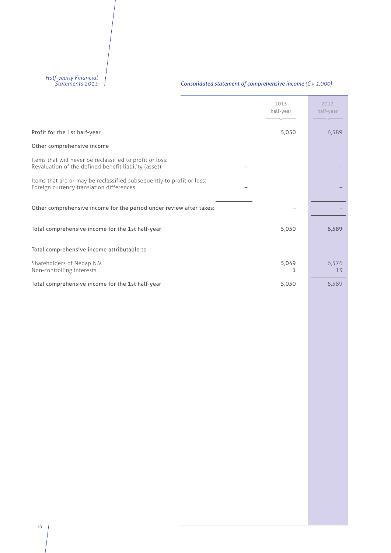## *Half-yearly Financial*

#### *Consolidated statement of comprehensive income (€ x 1,000)*

|                                                                                                                   | 2013<br>half-year | 2012<br>half-year |
|-------------------------------------------------------------------------------------------------------------------|-------------------|-------------------|
| Profit for the 1st half-year                                                                                      | 5,050             | 6,589             |
| Other comprehensive income                                                                                        |                   |                   |
| Items that will never be reclassified to profit or loss:<br>Revaluation of the defined benefit liability (asset)  |                   |                   |
| Items that are or may be reclassified subsequently to profit or loss:<br>Foreign currency translation differences |                   |                   |
| Other comprehensive income for the period under review after taxes:                                               |                   |                   |
| Total comprehensive income for the 1st half-year                                                                  | 5,050             | 6,589             |
| Total comprehensive income attributable to                                                                        |                   |                   |
| Shareholders of Nedap N.V.<br>Non-controlling interests                                                           | 5,049<br>1        | 6,576<br>13       |
| Total comprehensive income for the 1st half-year                                                                  | 5,050             | 6,589             |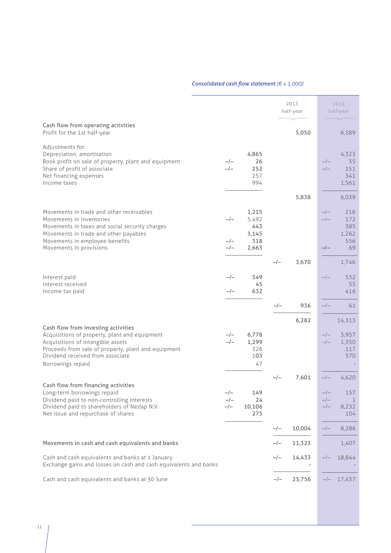#### *Consolidated cash flow statement (€ x 1,000)*

|                                                                                                                                                                                                                              |                         |                                                |       | 2013<br>half-year |                         | 2012<br>half-year                       |  |
|------------------------------------------------------------------------------------------------------------------------------------------------------------------------------------------------------------------------------|-------------------------|------------------------------------------------|-------|-------------------|-------------------------|-----------------------------------------|--|
| Cash flow from operating activities<br>Profit for the 1st half-year                                                                                                                                                          |                         |                                                |       | 5,050             |                         | 6,589                                   |  |
| Adjustments for:<br>Depreciation, amortisation<br>Book profit on sale of property, plant and equipment<br>Share of profit of associate<br>Net financing expenses<br>Income taxes                                             | $-/-$<br>$-/-$          | 4,865<br>26<br>252<br>257<br>994               |       |                   | $-/-$<br>$-/-$          | 4,323<br>35<br>151<br>341<br>1,561      |  |
|                                                                                                                                                                                                                              |                         |                                                |       | 5,838             |                         | 6,039                                   |  |
| Movements in trade and other receivables<br>Movements in inventories<br>Movements in taxes and social security charges<br>Movements in trade and other payables<br>Movements in employee benefits<br>Movements in provisions | $-/-$<br>$-/-$<br>$-/-$ | 1,215<br>5,492<br>443<br>3,145<br>318<br>2,663 |       |                   | $-/-$<br>$-/-$<br>$-/-$ | 216<br>172<br>385<br>1,262<br>556<br>69 |  |
|                                                                                                                                                                                                                              |                         |                                                | $-/-$ | 3,670             |                         | 1,746                                   |  |
| Interest paid<br>Interest received<br>Income tax paid                                                                                                                                                                        | $-/-$<br>$-/-$          | 349<br>45<br>632                               |       |                   | $-\prime -$             | 532<br>55<br>416                        |  |
|                                                                                                                                                                                                                              |                         |                                                | $-/-$ | 936               | $-/-$                   | 61                                      |  |
| Cash flow from investing activities                                                                                                                                                                                          |                         |                                                |       | 6,282             |                         | 14,313                                  |  |
| Acquisitions of property, plant and equipment<br>Acquisitions of intangible assets<br>Proceeds from sale of property, plant and equipment<br>Dividend received from associate<br>Borrowings repaid                           | $-/-$<br>$-/-$          | 6,778<br>1,299<br>326<br>103<br>47             |       |                   | $-/-$<br>$-/-$          | 3,957<br>1,350<br>117<br>570            |  |
| Cash flow from financing activities                                                                                                                                                                                          |                         |                                                | $-/-$ | 7,601             | $-/-$                   | 4,620                                   |  |
| Long-term borrowings repaid<br>Dividend paid to non-controlling interests<br>Dividend paid to shareholders of Nedap N.V.<br>Net issue and repurchase of shares                                                               | $-/-$<br>$-/-$<br>$-/-$ | 149<br>24<br>10,106<br>275                     |       |                   | $-/-$<br>$-/-$<br>$-/-$ | 157<br>1<br>8,232<br>104                |  |
|                                                                                                                                                                                                                              |                         |                                                | $-/-$ | 10,004            | $-/-$                   | 8,286                                   |  |
| Movements in cash and cash equivalents and banks                                                                                                                                                                             |                         |                                                | $-/-$ | 11,323            |                         | 1,407                                   |  |
| Cash and cash equivalents and banks at 1 January<br>Exchange gains and losses on cash and cash equivalents and banks                                                                                                         |                         |                                                | $-/-$ | 14,433            | $-/-$                   | 18,844                                  |  |
| Cash and cash equivalents and banks at 30 June                                                                                                                                                                               |                         |                                                | $-/-$ | 25,756            | $-/-$                   | 17,437                                  |  |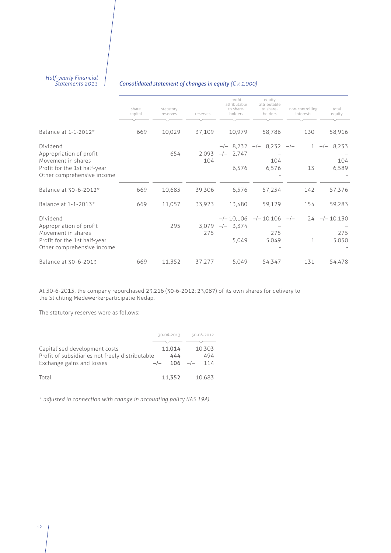#### *Half-yearly Financial Statements 2013*

#### *Consolidated statement of changes in equity (€ x 1,000)*

|                                                            | share<br>capital | statutory<br>reserves | reserves | profit<br>equity<br>attributable<br>attributable<br>to share-<br>to share-<br>holders<br>holders |                                 | non-controlling<br>interests | total<br>equity |  |
|------------------------------------------------------------|------------------|-----------------------|----------|--------------------------------------------------------------------------------------------------|---------------------------------|------------------------------|-----------------|--|
|                                                            |                  |                       |          |                                                                                                  |                                 |                              |                 |  |
| Balance at 1-1-2012*                                       | 669              | 10,029                | 37,109   | 10,979                                                                                           | 58,786                          | 130                          | 58,916          |  |
| Dividend                                                   |                  |                       |          |                                                                                                  | $-/-$ 8,232 $-/-$ 8,232 $-/-$   |                              | $1 -/- 8,233$   |  |
| Appropriation of profit                                    |                  | 654                   |          | $2,093 -/- 2,747$                                                                                |                                 |                              |                 |  |
| Movement in shares                                         |                  |                       | 104      |                                                                                                  | 104                             |                              | 104             |  |
| Profit for the 1st half-year                               |                  |                       |          | 6,576                                                                                            | 6,576                           | 13                           | 6,589           |  |
| Other comprehensive income                                 |                  |                       |          |                                                                                                  |                                 |                              |                 |  |
| Balance at 30-6-2012*                                      | 669              | 10,683                | 39,306   | 6,576                                                                                            | 57,234                          | 142                          | 57,376          |  |
| Balance at 1-1-2013*                                       | 669              | 11,057                | 33,923   | 13,480                                                                                           | 59,129                          | 154                          | 59,283          |  |
| Dividend                                                   |                  |                       |          |                                                                                                  | $-/- 10,106$ $-/- 10,106$ $-/-$ |                              | $24 - 10,130$   |  |
| Appropriation of profit                                    |                  | 295                   |          | $3,079$ -/- $3,374$                                                                              |                                 |                              |                 |  |
| Movement in shares                                         |                  |                       | 275      |                                                                                                  | 275                             |                              | 275             |  |
| Profit for the 1st half-year<br>Other comprehensive income |                  |                       |          | 5,049                                                                                            | 5,049                           | $\mathbf 1$                  | 5,050           |  |
| Balance at 30-6-2013                                       | 669              | 11,352                | 37,277   | 5,049                                                                                            | 54,347                          | 131                          | 54,478          |  |

At 30-6-2013, the company repurchased 23,216 (30-6-2012: 23,087) of its own shares for delivery to the Stichting Medewerkerparticipatie Nedap.

The statutory reserves were as follows:

|                                                                                                               |       | 30-06-2013    |           | 30-06-2012           |
|---------------------------------------------------------------------------------------------------------------|-------|---------------|-----------|----------------------|
| Capitalised development costs<br>Profit of subsidiaries not freely distributable<br>Exchange gains and losses | $-/-$ | 11.014<br>444 | $106 -/-$ | 10,303<br>494<br>114 |
| Total                                                                                                         |       | 11,352        |           | 10,683               |

*\* adjusted in connection with change in accounting policy (IAS 19A)*.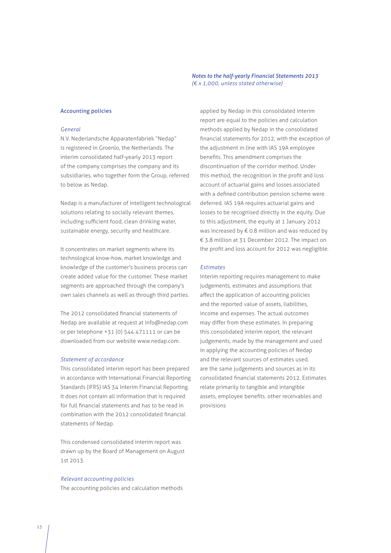#### *Notes to the half-yearly Financial Statements 2013 (€ x 1,000, unless stated otherwise)*

#### Accounting policies

#### *General*

N.V. Nederlandsche Apparatenfabriek "Nedap" is registered in Groenlo, the Netherlands. The interim consolidated half-yearly 2013 report of the company comprises the company and its subsidiaries, who together form the Group, referred to below as Nedap.

Nedap is a manufacturer of intelligent technological solutions relating to socially relevant themes, including sufficient food, clean drinking water, sustainable energy, security and healthcare.

It concentrates on market segments where its technological know-how, market knowledge and knowledge of the customer's business process can create added value for the customer. These market segments are approached through the company's own sales channels as well as through third parties.

The 2012 consolidated financial statements of Nedap are available at request at info@nedap.com or per telephone +31 (0) 544 471111 or can be downloaded from our website www.nedap.com.

#### *Statement of accordance*

This consolidated interim report has been prepared in accordance with International Financial Reporting Standards (IFRS) IAS 34 Interim Financial Reporting. It does not contain all information that is required for full financial statements and has to be read in combination with the 2012 consolidated financial statements of Nedap.

This condensed consolidated interim report was drawn up by the Board of Management on August 1st 2013.

#### *Relevant accounting policies*

The accounting policies and calculation methods

applied by Nedap in this consolidated interim report are equal to the policies and calculation methods applied by Nedap in the consolidated financial statements for 2012, with the exception of the adjustment in line with IAS 19A employee benefits. This amendment comprises the discontinuation of the corridor method. Under this method, the recognition in the profit and loss account of actuarial gains and losses associated with a defined contribution pension scheme were deferred. IAS 19A requires actuarial gains and losses to be recognised directly in the equity. Due to this adjustment, the equity at 1 January 2012 was increased by € 0.8 million and was reduced by € 3.8 million at 31 December 2012. The impact on the profit and loss account for 2012 was negligible.

#### *Estimates*

Interim reporting requires management to make judgements, estimates and assumptions that affect the application of accounting policies and the reported value of assets, liabilities, income and expenses. The actual outcomes may differ from these estimates. In preparing this consolidated interim report, the relevant judgements, made by the management and used in applying the accounting policies of Nedap and the relevant sources of estimates used, are the same judgements and sources as in its consolidated financial statements 2012. Estimates relate primarily to tangible and intangible assets, employee benefits. other receivables and provisions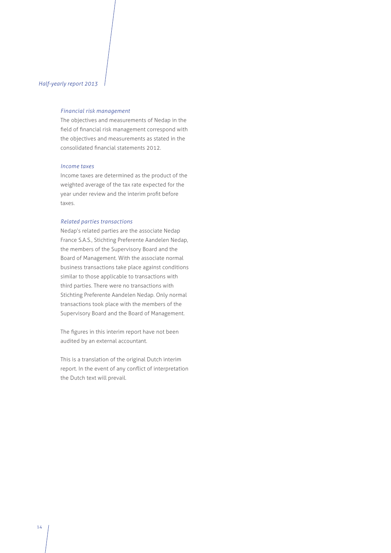*Half-yearly report 2013*

#### *Financial risk management*

The objectives and measurements of Nedap in the field of financial risk management correspond with the objectives and measurements as stated in the consolidated financial statements 2012.

#### *Income taxes*

Income taxes are determined as the product of the weighted average of the tax rate expected for the year under review and the interim profit before taxes.

#### *Related parties transactions*

Nedap's related parties are the associate Nedap France S.A.S., Stichting Preferente Aandelen Nedap, the members of the Supervisory Board and the Board of Management. With the associate normal business transactions take place against conditions similar to those applicable to transactions with third parties. There were no transactions with Stichting Preferente Aandelen Nedap. Only normal transactions took place with the members of the Supervisory Board and the Board of Management.

The figures in this interim report have not been audited by an external accountant.

This is a translation of the original Dutch interim report. In the event of any conflict of interpretation the Dutch text will prevail.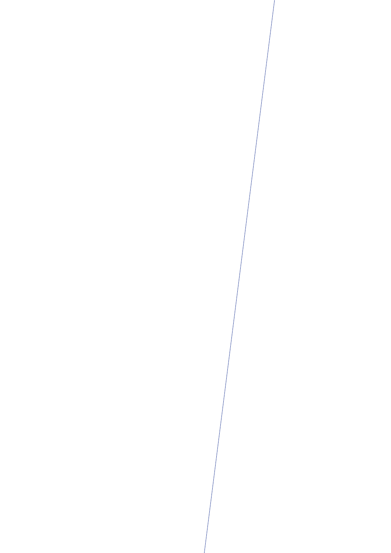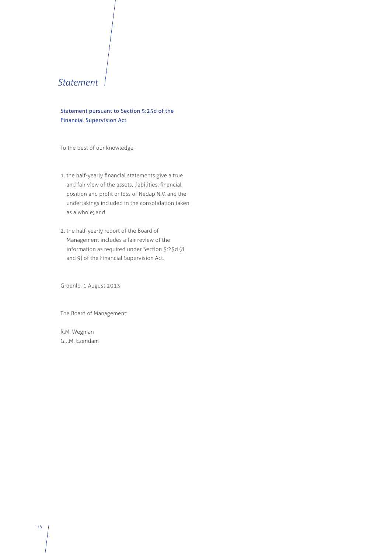## *Statement*

#### Statement pursuant to Section 5:25d of the Financial Supervision Act

To the best of our knowledge,

- 1. the half-yearly financial statements give a true and fair view of the assets, liabilities, financial position and profit or loss of Nedap N.V. and the undertakings included in the consolidation taken as a whole; and
- 2. the half-yearly report of the Board of Management includes a fair review of the information as required under Section 5:25d (8 and 9) of the Financial Supervision Act.

Groenlo, 1 August 2013

The Board of Management:

R.M. Wegman G.J.M. Ezendam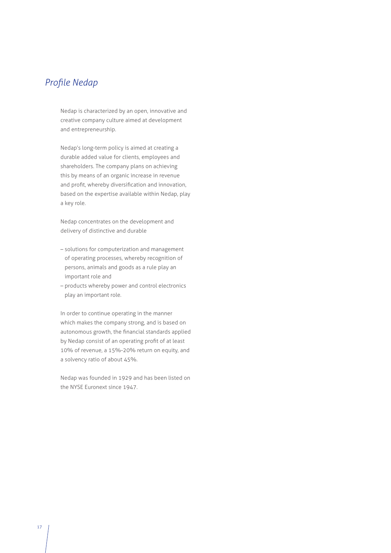## *Profile Nedap*

Nedap is characterized by an open, innovative and creative company culture aimed at development and entrepreneurship.

Nedap's long-term policy is aimed at creating a durable added value for clients, employees and shareholders. The company plans on achieving this by means of an organic increase in revenue and profit, whereby diversification and innovation, based on the expertise available within Nedap, play a key role.

Nedap concentrates on the development and delivery of distinctive and durable

- solutions for computerization and management of operating processes, whereby recognition of persons, animals and goods as a rule play an important role and
- products whereby power and control electronics play an important role.

In order to continue operating in the manner which makes the company strong, and is based on autonomous growth, the financial standards applied by Nedap consist of an operating profit of at least 10% of revenue, a 15%-20% return on equity, and a solvency ratio of about 45%.

Nedap was founded in 1929 and has been listed on the NYSE Euronext since 1947.